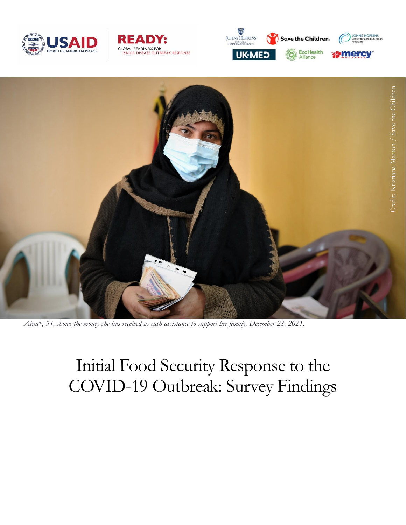







*Aina\*, 34, shows the money she has received as cash assistance to support her family. December 28, 2021.*

# Initial Food Security Response to the COVID-19 Outbreak: Survey Findings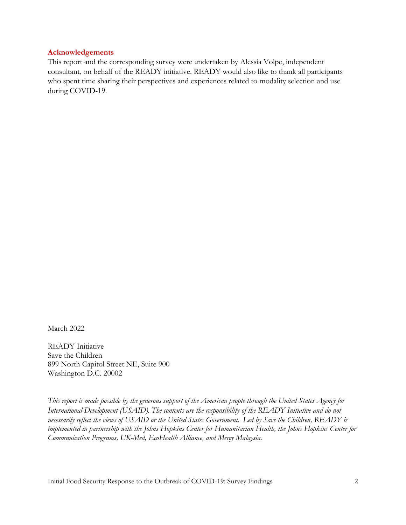#### **Acknowledgements**

This report and the corresponding survey were undertaken by Alessia Volpe, independent consultant, on behalf of the READY initiative. READY would also like to thank all participants who spent time sharing their perspectives and experiences related to modality selection and use during COVID-19.

March 2022

READY Initiative Save the Children 899 North Capitol Street NE, Suite 900 Washington D.C. 20002

*This report is made possible by the generous support of the American people through the United States Agency for International Development (USAID). The contents are the responsibility of the READY Initiative and do not necessarily reflect the views of USAID or the United States Government.  Led by Save the Children, READY is implemented in partnership with the Johns Hopkins Center for Humanitarian Health, the Johns Hopkins Center for Communication Programs, UK-Med, EcoHealth Alliance, and Mercy Malaysia.*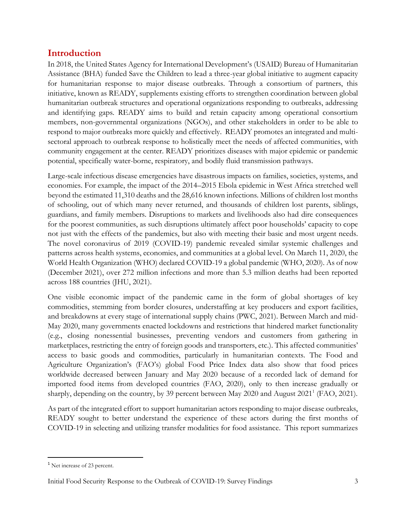# **Introduction**

In 2018, the United States Agency for International Development's (USAID) Bureau of Humanitarian Assistance (BHA) funded Save the Children to lead a three-year global initiative to augment capacity for humanitarian response to major disease outbreaks. Through a consortium of partners, this initiative, known as READY, supplements existing efforts to strengthen coordination between global humanitarian outbreak structures and operational organizations responding to outbreaks, addressing and identifying gaps. READY aims to build and retain capacity among operational consortium members, non-governmental organizations (NGOs), and other stakeholders in order to be able to respond to major outbreaks more quickly and effectively. READY promotes an integrated and multisectoral approach to outbreak response to holistically meet the needs of affected communities, with community engagement at the center. READY prioritizes diseases with major epidemic or pandemic potential, specifically water-borne, respiratory, and bodily fluid transmission pathways.

Large-scale infectious disease emergencies have disastrous impacts on families, societies, systems, and economies. For example, the impact of the 2014–2015 Ebola epidemic in West Africa stretched well beyond the estimated 11,310 deaths and the 28,616 known infections. Millions of children lost months of schooling, out of which many never returned, and thousands of children lost parents, siblings, guardians, and family members. Disruptions to markets and livelihoods also had dire consequences for the poorest communities, as such disruptions ultimately affect poor households' capacity to cope not just with the effects of the pandemics, but also with meeting their basic and most urgent needs. The novel coronavirus of 2019 (COVID-19) pandemic revealed similar systemic challenges and patterns across health systems, economies, and communities at a global level. On March 11, 2020, the World Health Organization (WHO) declared COVID-19 a global pandemic (WHO, 2020). As of now (December 2021), over 272 million infections and more than 5.3 million deaths had been reported across 188 countries (JHU, 2021).

One visible economic impact of the pandemic came in the form of global shortages of key commodities, stemming from border closures, understaffing at key producers and export facilities, and breakdowns at every stage of international supply chains (PWC, 2021). Between March and mid-May 2020, many governments enacted lockdowns and restrictions that hindered market functionality (e.g., closing nonessential businesses, preventing vendors and customers from gathering in marketplaces, restricting the entry of foreign goods and transporters, etc.). This affected communities' access to basic goods and commodities, particularly in humanitarian contexts. The Food and Agriculture Organization's (FAO's) global Food Price Index data also show that food prices worldwide decreased between January and May 2020 because of a recorded lack of demand for imported food items from developed countries (FAO, 2020), only to then increase gradually or sharply, depending on the country, by 39 percent between May 2020 and August 2021<sup>1</sup> (FAO, 2021).

As part of the integrated effort to support humanitarian actors responding to major disease outbreaks, READY sought to better understand the experience of these actors during the first months of COVID-19 in selecting and utilizing transfer modalities for food assistance. This report summarizes

 $\overline{a}$ 

<sup>1</sup> Net increase of 23 percent.

Initial Food Security Response to the Outbreak of COVID-19: Survey Findings 3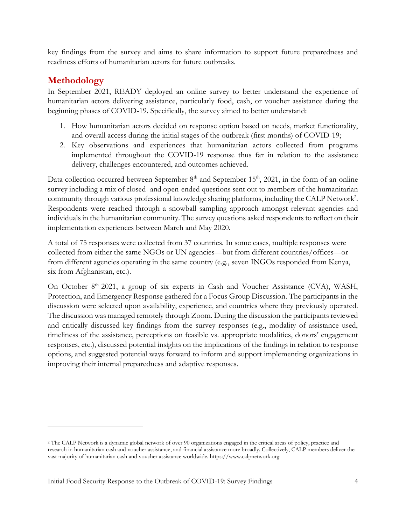key findings from the survey and aims to share information to support future preparedness and readiness efforts of humanitarian actors for future outbreaks.

# **Methodology**

 $\overline{\phantom{a}}$ 

In September 2021, READY deployed an online survey to better understand the experience of humanitarian actors delivering assistance, particularly food, cash, or voucher assistance during the beginning phases of COVID-19. Specifically, the survey aimed to better understand:

- 1. How humanitarian actors decided on response option based on needs, market functionality, and overall access during the initial stages of the outbreak (first months) of COVID-19;
- 2. Key observations and experiences that humanitarian actors collected from programs implemented throughout the COVID-19 response thus far in relation to the assistance delivery, challenges encountered, and outcomes achieved.

Data collection occurred between September  $8<sup>th</sup>$  and September 15<sup>th</sup>, 2021, in the form of an online survey including a mix of closed- and open-ended questions sent out to members of the humanitarian community through various professional knowledge sharing platforms, including the CALP Network<sup>2</sup>. Respondents were reached through a snowball sampling approach amongst relevant agencies and individuals in the humanitarian community. The survey questions asked respondents to reflect on their implementation experiences between March and May 2020.

A total of 75 responses were collected from 37 countries. In some cases, multiple responses were collected from either the same NGOs or UN agencies—but from different countries/offices—or from different agencies operating in the same country (e.g., seven INGOs responded from Kenya, six from Afghanistan, etc.).

On October 8<sup>th</sup> 2021, a group of six experts in Cash and Voucher Assistance (CVA), WASH, Protection, and Emergency Response gathered for a Focus Group Discussion. The participants in the discussion were selected upon availability, experience, and countries where they previously operated. The discussion was managed remotely through Zoom. During the discussion the participants reviewed and critically discussed key findings from the survey responses (e.g., modality of assistance used, timeliness of the assistance, perceptions on feasible vs. appropriate modalities, donors' engagement responses, etc.), discussed potential insights on the implications of the findings in relation to response options, and suggested potential ways forward to inform and support implementing organizations in improving their internal preparedness and adaptive responses.

<sup>2</sup> The CALP Network is a dynamic global network of over 90 organizations engaged in the critical areas of policy, practice and research in humanitarian cash and voucher assistance, and financial assistance more broadly. Collectively, CALP members deliver the vast majority of humanitarian cash and voucher assistance worldwide. https://www.calpnetwork.org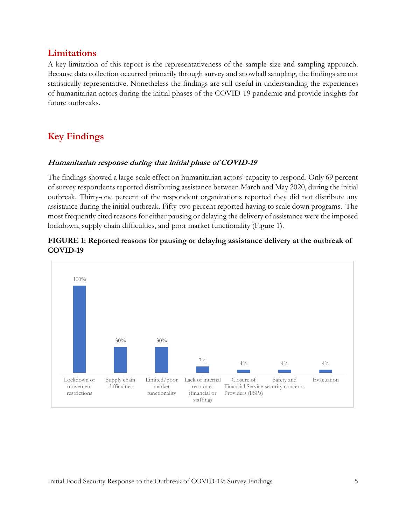## **Limitations**

A key limitation of this report is the representativeness of the sample size and sampling approach. Because data collection occurred primarily through survey and snowball sampling, the findings are not statistically representative. Nonetheless the findings are still useful in understanding the experiences of humanitarian actors during the initial phases of the COVID-19 pandemic and provide insights for future outbreaks.

# **Key Findings**

#### **Humanitarian response during that initial phase of COVID-19**

The findings showed a large-scale effect on humanitarian actors' capacity to respond. Only 69 percent of survey respondents reported distributing assistance between March and May 2020, during the initial outbreak. Thirty-one percent of the respondent organizations reported they did not distribute any assistance during the initial outbreak. Fifty-two percent reported having to scale down programs. The most frequently cited reasons for either pausing or delaying the delivery of assistance were the imposed lockdown, supply chain difficulties, and poor market functionality (Figure 1).



### **FIGURE 1: Reported reasons for pausing or delaying assistance delivery at the outbreak of COVID-19**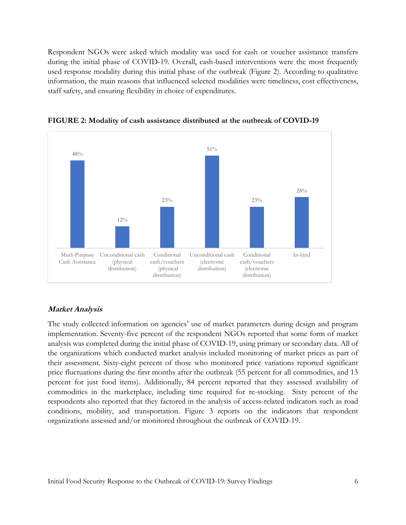Respondent NGOs were asked which modality was used for cash or voucher assistance transfers during the initial phase of COVID-19. Overall, cash-based interventions were the most frequently used response modality during this initial phase of the outbreak (Figure 2). According to qualitative information, the main reasons that influenced selected modalities were timeliness, cost effectiveness, staff safety, and ensuring flexibility in choice of expenditures.



**FIGURE 2: Modality of cash assistance distributed at the outbreak of COVID-19**

#### **Market Analysis**

The study collected information on agencies' use of market parameters during design and program implementation. Seventy-five percent of the respondent NGOs reported that some form of market analysis was completed during the initial phase of COVID-19, using primary or secondary data. All of the organizations which conducted market analysis included monitoring of market prices as part of their assessment. Sixty-eight percent of those who monitored price variations reported significant price fluctuations during the first months after the outbreak (55 percent for all commodities, and 13 percent for just food items). Additionally, 84 percent reported that they assessed availability of commodities in the marketplace, including time required for re-stocking. Sixty percent of the respondents also reported that they factored in the analysis of access-related indicators such as road conditions, mobility, and transportation. Figure 3 reports on the indicators that respondent organizations assessed and/or monitored throughout the outbreak of COVID-19.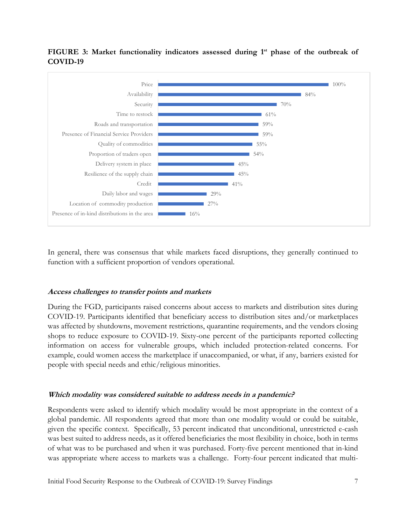#### **FIGURE 3: Market functionality indicators assessed during 1st phase of the outbreak of COVID-19**



In general, there was consensus that while markets faced disruptions, they generally continued to function with a sufficient proportion of vendors operational.

#### **Access challenges to transfer points and markets**

During the FGD, participants raised concerns about access to markets and distribution sites during COVID-19. Participants identified that beneficiary access to distribution sites and/or marketplaces was affected by shutdowns, movement restrictions, quarantine requirements, and the vendors closing shops to reduce exposure to COVID-19. Sixty-one percent of the participants reported collecting information on access for vulnerable groups, which included protection-related concerns. For example, could women access the marketplace if unaccompanied, or what, if any, barriers existed for people with special needs and ethic/religious minorities.

#### **Which modality was considered suitable to address needs in a pandemic?**

Respondents were asked to identify which modality would be most appropriate in the context of a global pandemic. All respondents agreed that more than one modality would or could be suitable, given the specific context. Specifically, 53 percent indicated that unconditional, unrestricted e-cash was best suited to address needs, as it offered beneficiaries the most flexibility in choice, both in terms of what was to be purchased and when it was purchased. Forty-five percent mentioned that in-kind was appropriate where access to markets was a challenge. Forty-four percent indicated that multi-